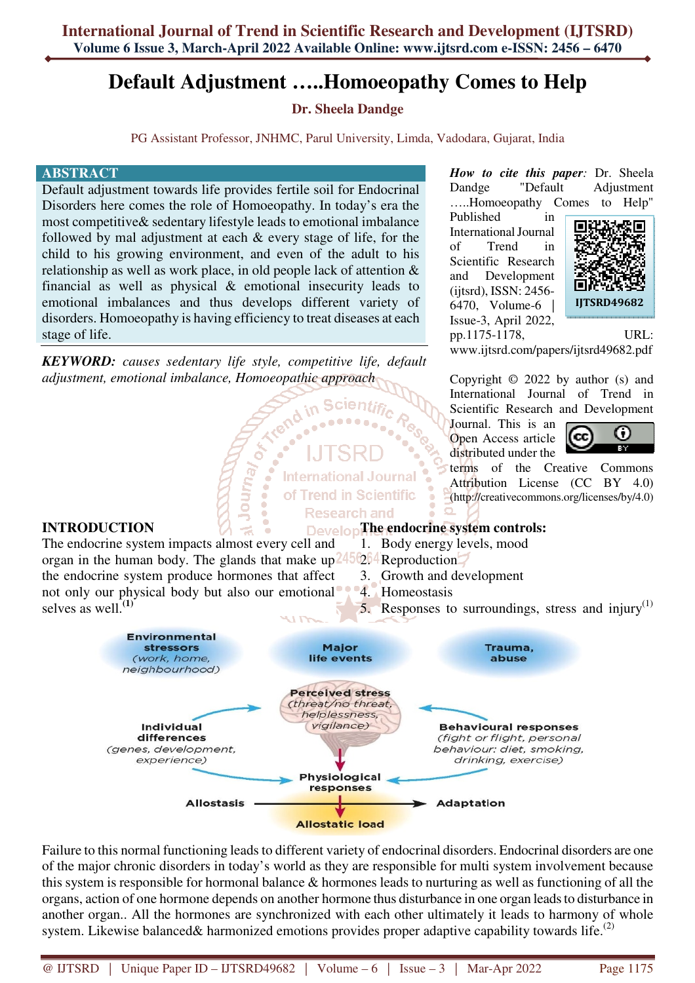# **Default Adjustment …..Homoeopathy Comes to Help**

# **Dr. Sheela Dandge**

PG Assistant Professor, JNHMC, Parul University, Limda, Vadodara, Gujarat, India

**Scientif** 

.....

**International Journal** of Trend in Scientific **Research and** 

n'

**B** 

**OF** 

Journal

#### **ABSTRACT**

Default adjustment towards life provides fertile soil for Endocrinal Disorders here comes the role of Homoeopathy. In today's era the most competitive& sedentary lifestyle leads to emotional imbalance followed by mal adjustment at each & every stage of life, for the child to his growing environment, and even of the adult to his relationship as well as work place, in old people lack of attention & financial as well as physical & emotional insecurity leads to emotional imbalances and thus develops different variety of disorders. Homoeopathy is having efficiency to treat diseases at each stage of life.

*KEYWORD: causes sedentary life style, competitive life, default adjustment, emotional imbalance, Homoeopathic approach*

#### *How to cite this paper:* Dr. Sheela Dandge "Default Adjustment …..Homoeopathy Comes to Help"

Published in International Journal of Trend in Scientific Research and Development (ijtsrd), ISSN: 2456- 6470, Volume-6 | Issue-3, April 2022, pp.1175-1178, URL:



www.ijtsrd.com/papers/ijtsrd49682.pdf

Copyright © 2022 by author (s) and International Journal of Trend in Scientific Research and Development

Journal. This is an Open Access article distributed under the



terms of the Creative Commons Attribution License (CC BY 4.0) (http://creativecommons.org/licenses/by/4.0)

### **INTRODUCTION**

The endocrine system impacts almost every cell and organ in the human body. The glands that make up<sup>2456</sup>204 Reproduction. the endocrine system produce hormones that affect not only our physical body but also our emotional 4. Homeostasis selves as well.**(1) DevelopThe endocrine system controls:** 1. Body energy levels, mood 3. Growth and development 5. Responses to surroundings, stress and injury<sup>(1)</sup>



Failure to this normal functioning leads to different variety of endocrinal disorders. Endocrinal disorders are one of the major chronic disorders in today's world as they are responsible for multi system involvement because this system is responsible for hormonal balance & hormones leads to nurturing as well as functioning of all the organs, action of one hormone depends on another hormone thus disturbance in one organ leads to disturbance in another organ.. All the hormones are synchronized with each other ultimately it leads to harmony of whole system. Likewise balanced& harmonized emotions provides proper adaptive capability towards life.<sup>(2)</sup>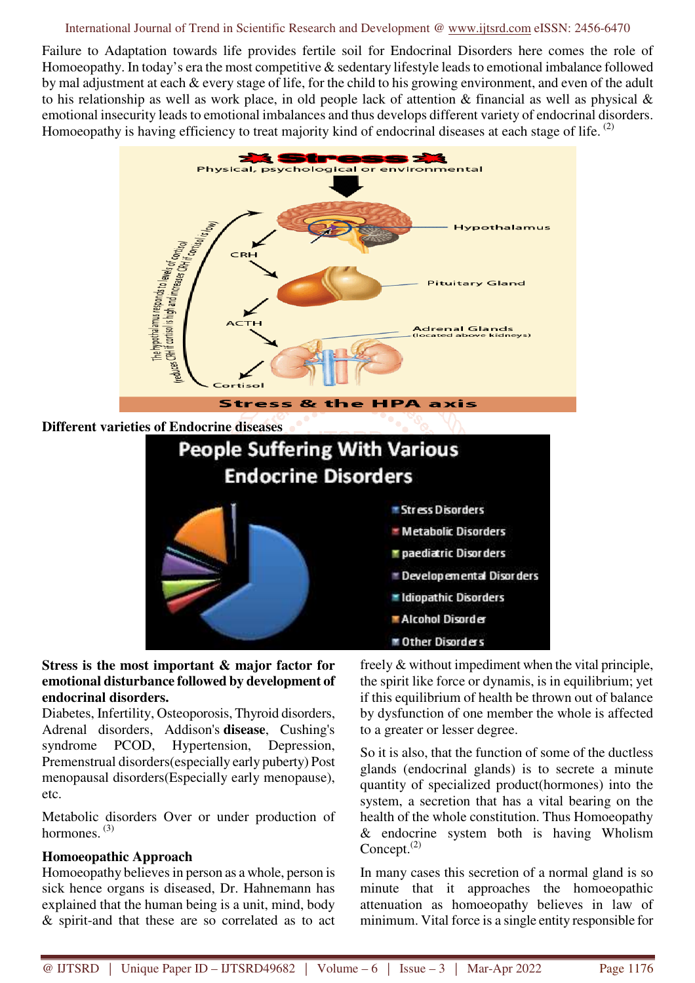#### International Journal of Trend in Scientific Research and Development @ www.ijtsrd.com eISSN: 2456-6470

Failure to Adaptation towards life provides fertile soil for Endocrinal Disorders here comes the role of Homoeopathy. In today's era the most competitive & sedentary lifestyle leads to emotional imbalance followed by mal adjustment at each & every stage of life, for the child to his growing environment, and even of the adult to his relationship as well as work place, in old people lack of attention & financial as well as physical & emotional insecurity leads to emotional imbalances and thus develops different variety of endocrinal disorders. Homoeopathy is having efficiency to treat majority kind of endocrinal diseases at each stage of life. <sup>(2)</sup>





#### **Stress is the most important & major factor for emotional disturbance followed by development of endocrinal disorders.**

Diabetes, Infertility, Osteoporosis, Thyroid disorders, Adrenal disorders, Addison's **disease**, Cushing's syndrome PCOD, Hypertension, Depression, Premenstrual disorders(especially early puberty) Post menopausal disorders(Especially early menopause), etc.

Metabolic disorders Over or under production of hormones.<sup>(3)</sup>

#### **Homoeopathic Approach**

Homoeopathy believes in person as a whole, person is sick hence organs is diseased, Dr. Hahnemann has explained that the human being is a unit, mind, body & spirit-and that these are so correlated as to act

freely & without impediment when the vital principle, the spirit like force or dynamis, is in equilibrium; yet if this equilibrium of health be thrown out of balance by dysfunction of one member the whole is affected to a greater or lesser degree.

So it is also, that the function of some of the ductless glands (endocrinal glands) is to secrete a minute quantity of specialized product(hormones) into the system, a secretion that has a vital bearing on the health of the whole constitution. Thus Homoeopathy & endocrine system both is having Wholism Concept. $^{(2)}$ 

In many cases this secretion of a normal gland is so minute that it approaches the homoeopathic attenuation as homoeopathy believes in law of minimum. Vital force is a single entity responsible for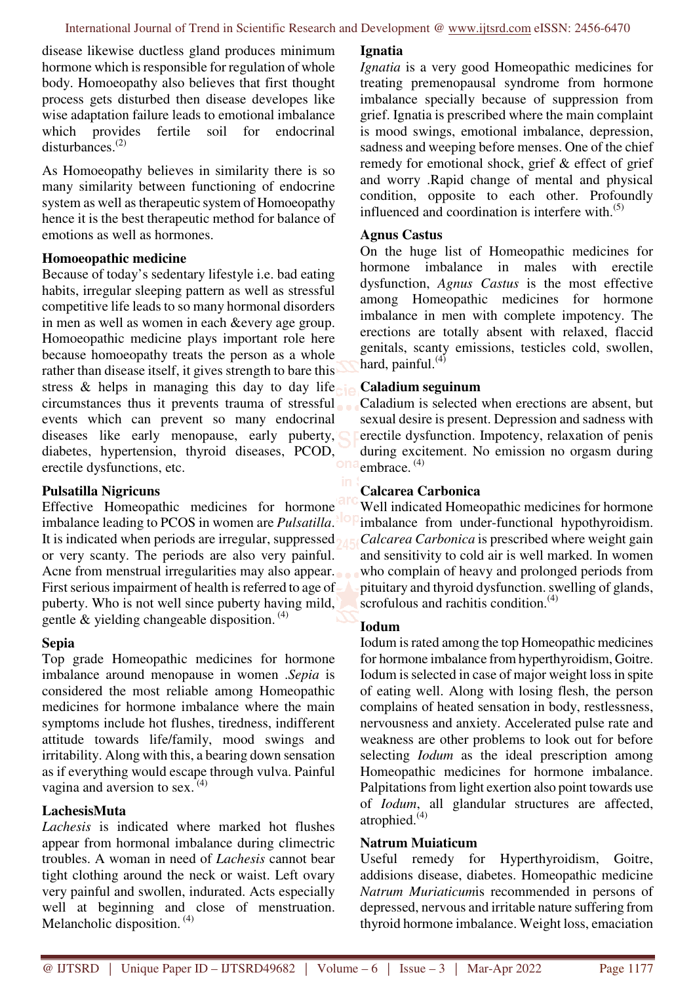disease likewise ductless gland produces minimum hormone which is responsible for regulation of whole body. Homoeopathy also believes that first thought process gets disturbed then disease developes like wise adaptation failure leads to emotional imbalance which provides fertile soil for endocrinal disturbances.<sup>(2)</sup>

As Homoeopathy believes in similarity there is so many similarity between functioning of endocrine system as well as therapeutic system of Homoeopathy hence it is the best therapeutic method for balance of emotions as well as hormones.

#### **Homoeopathic medicine**

Because of today's sedentary lifestyle i.e. bad eating habits, irregular sleeping pattern as well as stressful competitive life leads to so many hormonal disorders in men as well as women in each &every age group. Homoeopathic medicine plays important role here because homoeopathy treats the person as a whole rather than disease itself, it gives strength to bare this stress & helps in managing this day to day life circumstances thus it prevents trauma of stressful events which can prevent so many endocrinal diseases like early menopause, early puberty, diabetes, hypertension, thyroid diseases, PCOD, erectile dysfunctions, etc.

#### **Pulsatilla Nigricuns**

Effective Homeopathic medicines for hormone imbalance leading to PCOS in women are *Pulsatilla*. It is indicated when periods are irregular, suppressed or very scanty. The periods are also very painful. Acne from menstrual irregularities may also appear. First serious impairment of health is referred to age of puberty. Who is not well since puberty having mild, gentle  $\&$  yielding changeable disposition.<sup>(4)</sup>

#### **Sepia**

Top grade Homeopathic medicines for hormone imbalance around menopause in women .*Sepia* is considered the most reliable among Homeopathic medicines for hormone imbalance where the main symptoms include hot flushes, tiredness, indifferent attitude towards life/family, mood swings and irritability. Along with this, a bearing down sensation as if everything would escape through vulva. Painful vagina and aversion to sex.  $(4)$ 

#### **LachesisMuta**

*Lachesis* is indicated where marked hot flushes appear from hormonal imbalance during climectric troubles. A woman in need of *Lachesis* cannot bear tight clothing around the neck or waist. Left ovary very painful and swollen, indurated. Acts especially well at beginning and close of menstruation. Melancholic disposition.<sup>(4)</sup>

#### **Ignatia**

*Ignatia* is a very good Homeopathic medicines for treating premenopausal syndrome from hormone imbalance specially because of suppression from grief. Ignatia is prescribed where the main complaint is mood swings, emotional imbalance, depression, sadness and weeping before menses. One of the chief remedy for emotional shock, grief & effect of grief and worry .Rapid change of mental and physical condition, opposite to each other. Profoundly influenced and coordination is interfere with. $(5)$ 

#### **Agnus Castus**

On the huge list of Homeopathic medicines for hormone imbalance in males with erectile dysfunction, *Agnus Castus* is the most effective among Homeopathic medicines for hormone imbalance in men with complete impotency. The erections are totally absent with relaxed, flaccid genitals, scanty emissions, testicles cold, swollen, hard, painful. $(4)$ 

#### **Caladium seguinum**

Caladium is selected when erections are absent, but sexual desire is present. Depression and sadness with erectile dysfunction. Impotency, relaxation of penis during excitement. No emission no orgasm during embrace.  $(4)$ 

#### **Calcarea Carbonica**

Well indicated Homeopathic medicines for hormone imbalance from under-functional hypothyroidism. *Calcarea Carbonica* is prescribed where weight gain and sensitivity to cold air is well marked. In women who complain of heavy and prolonged periods from pituitary and thyroid dysfunction. swelling of glands, scrofulous and rachitis condition. $(4)$ 

#### **Iodum**

Iodum is rated among the top Homeopathic medicines for hormone imbalance from hyperthyroidism, Goitre. Iodum is selected in case of major weight loss in spite of eating well. Along with losing flesh, the person complains of heated sensation in body, restlessness, nervousness and anxiety. Accelerated pulse rate and weakness are other problems to look out for before selecting *Iodum* as the ideal prescription among Homeopathic medicines for hormone imbalance. Palpitations from light exertion also point towards use of *Iodum*, all glandular structures are affected, atrophied. $(4)$ 

#### **Natrum Muiaticum**

Useful remedy for Hyperthyroidism, Goitre, addisions disease, diabetes. Homeopathic medicine *Natrum Muriaticum*is recommended in persons of depressed, nervous and irritable nature suffering from thyroid hormone imbalance. Weight loss, emaciation